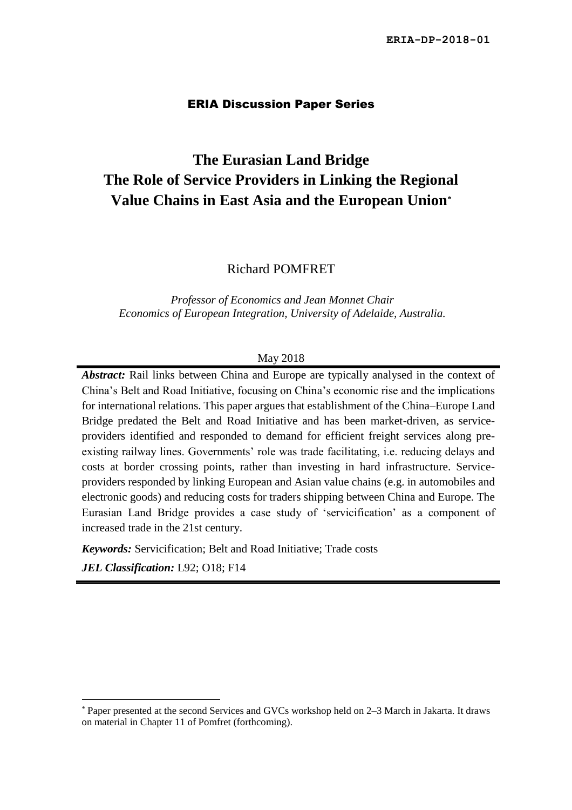#### ERIA Discussion Paper Series

# **The Eurasian Land Bridge The Role of Service Providers in Linking the Regional Value Chains in East Asia and the European Union\***

Richard POMFRET

*Professor of Economics and Jean Monnet Chair Economics of European Integration, University of Adelaide, Australia.*

#### May 2018

*Abstract:* Rail links between China and Europe are typically analysed in the context of China's Belt and Road Initiative, focusing on China's economic rise and the implications for international relations. This paper argues that establishment of the China–Europe Land Bridge predated the Belt and Road Initiative and has been market-driven, as serviceproviders identified and responded to demand for efficient freight services along preexisting railway lines. Governments' role was trade facilitating, i.e. reducing delays and costs at border crossing points, rather than investing in hard infrastructure. Serviceproviders responded by linking European and Asian value chains (e.g. in automobiles and electronic goods) and reducing costs for traders shipping between China and Europe. The Eurasian Land Bridge provides a case study of 'servicification' as a component of increased trade in the 21st century.

*Keywords:* Servicification; Belt and Road Initiative; Trade costs

*JEL Classification:* L92; O18; F14

<sup>\*</sup> Paper presented at the second Services and GVCs workshop held on 2–3 March in Jakarta. It draws on material in Chapter 11 of Pomfret (forthcoming).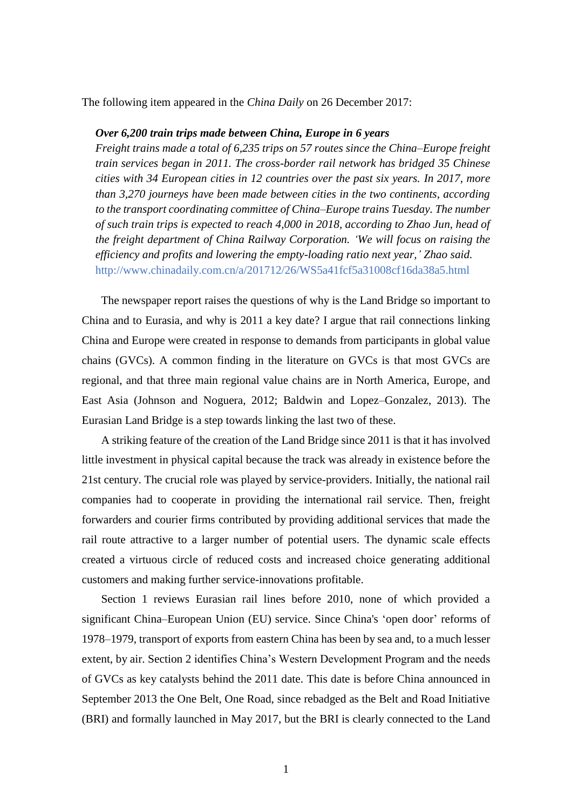The following item appeared in the *China Daily* on 26 December 2017:

#### *Over 6,200 train trips made between China, Europe in 6 years*

*Freight trains made a total of 6,235 trips on 57 routes since the China–Europe freight train services began in 2011. The cross-border rail network has bridged 35 Chinese cities with 34 European cities in 12 countries over the past six years. In 2017, more than 3,270 journeys have been made between cities in the two continents, according to the transport coordinating committee of China–Europe trains Tuesday. The number of such train trips is expected to reach 4,000 in 2018, according to Zhao Jun, head of the freight department of China Railway Corporation. 'We will focus on raising the efficiency and profits and lowering the empty-loading ratio next year,' Zhao said.* http://www.chinadaily.com.cn/a/201712/26/WS5a41fcf5a31008cf16da38a5.html

The newspaper report raises the questions of why is the Land Bridge so important to China and to Eurasia, and why is 2011 a key date? I argue that rail connections linking China and Europe were created in response to demands from participants in global value chains (GVCs). A common finding in the literature on GVCs is that most GVCs are regional, and that three main regional value chains are in North America, Europe, and East Asia (Johnson and Noguera, 2012; Baldwin and Lopez–Gonzalez, 2013). The Eurasian Land Bridge is a step towards linking the last two of these.

A striking feature of the creation of the Land Bridge since 2011 is that it has involved little investment in physical capital because the track was already in existence before the 21st century. The crucial role was played by service-providers. Initially, the national rail companies had to cooperate in providing the international rail service. Then, freight forwarders and courier firms contributed by providing additional services that made the rail route attractive to a larger number of potential users. The dynamic scale effects created a virtuous circle of reduced costs and increased choice generating additional customers and making further service-innovations profitable.

Section 1 reviews Eurasian rail lines before 2010, none of which provided a significant China–European Union (EU) service. Since China's 'open door' reforms of 1978–1979, transport of exports from eastern China has been by sea and, to a much lesser extent, by air. Section 2 identifies China's Western Development Program and the needs of GVCs as key catalysts behind the 2011 date. This date is before China announced in September 2013 the One Belt, One Road, since rebadged as the Belt and Road Initiative (BRI) and formally launched in May 2017, but the BRI is clearly connected to the Land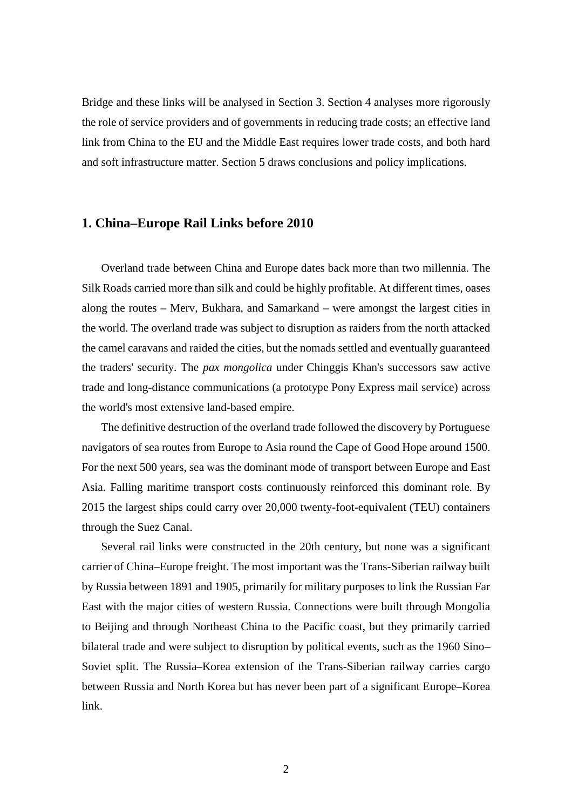Bridge and these links will be analysed in Section 3. Section 4 analyses more rigorously the role of service providers and of governments in reducing trade costs; an effective land link from China to the EU and the Middle East requires lower trade costs, and both hard and soft infrastructure matter. Section 5 draws conclusions and policy implications.

#### **1. China–Europe Rail Links before 2010**

Overland trade between China and Europe dates back more than two millennia. The Silk Roads carried more than silk and could be highly profitable. At different times, oases along the routes **–** Merv, Bukhara, and Samarkand **–** were amongst the largest cities in the world. The overland trade was subject to disruption as raiders from the north attacked the camel caravans and raided the cities, but the nomads settled and eventually guaranteed the traders' security. The *pax mongolica* under Chinggis Khan's successors saw active trade and long-distance communications (a prototype Pony Express mail service) across the world's most extensive land-based empire.

The definitive destruction of the overland trade followed the discovery by Portuguese navigators of sea routes from Europe to Asia round the Cape of Good Hope around 1500. For the next 500 years, sea was the dominant mode of transport between Europe and East Asia. Falling maritime transport costs continuously reinforced this dominant role. By 2015 the largest ships could carry over 20,000 twenty-foot-equivalent (TEU) containers through the Suez Canal.

Several rail links were constructed in the 20th century, but none was a significant carrier of China**–**Europe freight. The most important was the Trans-Siberian railway built by Russia between 1891 and 1905, primarily for military purposes to link the Russian Far East with the major cities of western Russia. Connections were built through Mongolia to Beijing and through Northeast China to the Pacific coast, but they primarily carried bilateral trade and were subject to disruption by political events, such as the 1960 Sino**–** Soviet split. The Russia**–**Korea extension of the Trans-Siberian railway carries cargo between Russia and North Korea but has never been part of a significant Europe**–**Korea link.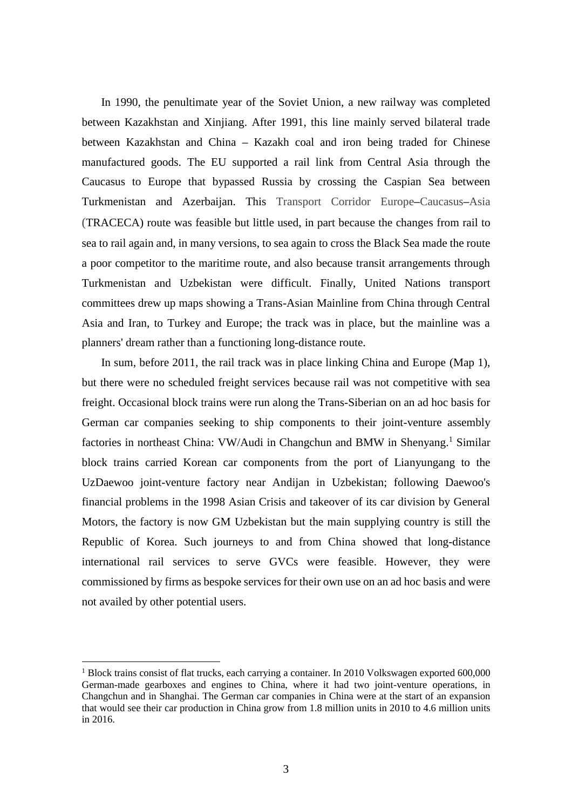In 1990, the penultimate year of the Soviet Union, a new railway was completed between Kazakhstan and Xinjiang. After 1991, this line mainly served bilateral trade between Kazakhstan and China **–** Kazakh coal and iron being traded for Chinese manufactured goods. The EU supported a rail link from Central Asia through the Caucasus to Europe that bypassed Russia by crossing the Caspian Sea between Turkmenistan and Azerbaijan. This Transport Corridor Europe**–**Caucasus**–**Asia (TRACECA) route was feasible but little used, in part because the changes from rail to sea to rail again and, in many versions, to sea again to cross the Black Sea made the route a poor competitor to the maritime route, and also because transit arrangements through Turkmenistan and Uzbekistan were difficult. Finally, United Nations transport committees drew up maps showing a Trans-Asian Mainline from China through Central Asia and Iran, to Turkey and Europe; the track was in place, but the mainline was a planners' dream rather than a functioning long-distance route.

In sum, before 2011, the rail track was in place linking China and Europe (Map 1), but there were no scheduled freight services because rail was not competitive with sea freight. Occasional block trains were run along the Trans-Siberian on an ad hoc basis for German car companies seeking to ship components to their joint-venture assembly factories in northeast China: VW/Audi in Changchun and BMW in Shenyang.<sup>1</sup> Similar block trains carried Korean car components from the port of Lianyungang to the UzDaewoo joint-venture factory near Andijan in Uzbekistan; following Daewoo's financial problems in the 1998 Asian Crisis and takeover of its car division by General Motors, the factory is now GM Uzbekistan but the main supplying country is still the Republic of Korea. Such journeys to and from China showed that long-distance international rail services to serve GVCs were feasible. However, they were commissioned by firms as bespoke services for their own use on an ad hoc basis and were not availed by other potential users.

<sup>&</sup>lt;sup>1</sup> Block trains consist of flat trucks, each carrying a container. In 2010 Volkswagen exported 600,000 German-made gearboxes and engines to China, where it had two joint-venture operations, in Changchun and in Shanghai. The German car companies in China were at the start of an expansion that would see their car production in China grow from 1.8 million units in 2010 to 4.6 million units in 2016.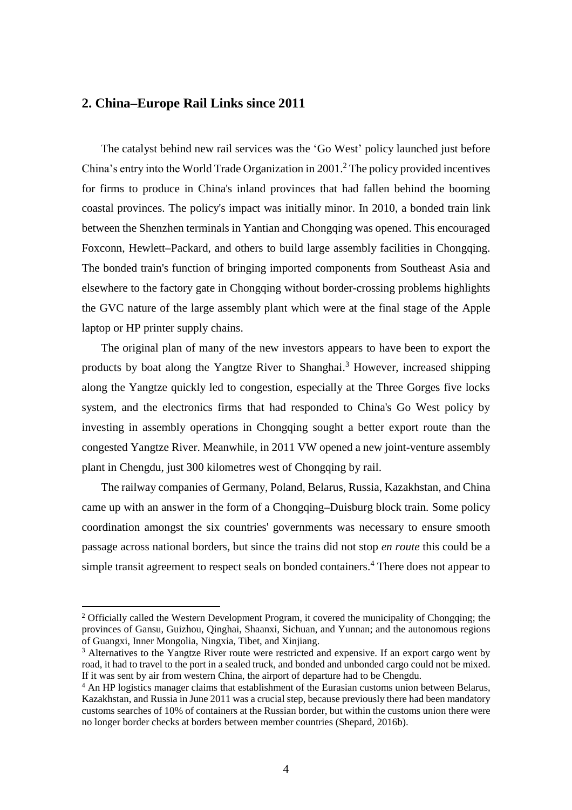# **2. China–Europe Rail Links since 2011**

The catalyst behind new rail services was the 'Go West' policy launched just before China's entry into the World Trade Organization in 2001.<sup>2</sup> The policy provided incentives for firms to produce in China's inland provinces that had fallen behind the booming coastal provinces. The policy's impact was initially minor. In 2010, a bonded train link between the Shenzhen terminals in Yantian and Chongqing was opened. This encouraged Foxconn, Hewlett**–**Packard, and others to build large assembly facilities in Chongqing. The bonded train's function of bringing imported components from Southeast Asia and elsewhere to the factory gate in Chongqing without border-crossing problems highlights the GVC nature of the large assembly plant which were at the final stage of the Apple laptop or HP printer supply chains.

The original plan of many of the new investors appears to have been to export the products by boat along the Yangtze River to Shanghai. <sup>3</sup> However, increased shipping along the Yangtze quickly led to congestion, especially at the Three Gorges five locks system, and the electronics firms that had responded to China's Go West policy by investing in assembly operations in Chongqing sought a better export route than the congested Yangtze River. Meanwhile, in 2011 VW opened a new joint-venture assembly plant in Chengdu, just 300 kilometres west of Chongqing by rail.

The railway companies of Germany, Poland, Belarus, Russia, Kazakhstan, and China came up with an answer in the form of a Chongqing**–**Duisburg block train. Some policy coordination amongst the six countries' governments was necessary to ensure smooth passage across national borders, but since the trains did not stop *en route* this could be a simple transit agreement to respect seals on bonded containers. <sup>4</sup> There does not appear to

 $2$  Officially called the Western Development Program, it covered the municipality of Chongqing; the provinces of Gansu, Guizhou, Qinghai, Shaanxi, Sichuan, and Yunnan; and the autonomous regions of Guangxi, Inner Mongolia, Ningxia, Tibet, and Xinjiang.

<sup>&</sup>lt;sup>3</sup> Alternatives to the Yangtze River route were restricted and expensive. If an export cargo went by road, it had to travel to the port in a sealed truck, and bonded and unbonded cargo could not be mixed. If it was sent by air from western China, the airport of departure had to be Chengdu.

<sup>&</sup>lt;sup>4</sup> An HP logistics manager claims that establishment of the Eurasian customs union between Belarus, Kazakhstan, and Russia in June 2011 was a crucial step, because previously there had been mandatory customs searches of 10% of containers at the Russian border, but within the customs union there were no longer border checks at borders between member countries (Shepard, 2016b).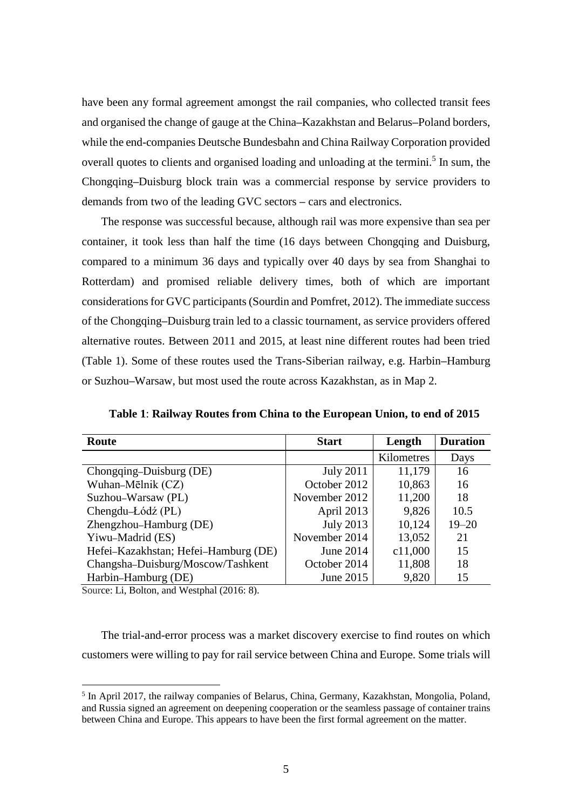have been any formal agreement amongst the rail companies, who collected transit fees and organised the change of gauge at the China**–**Kazakhstan and Belarus**–**Poland borders, while the end-companies Deutsche Bundesbahn and China Railway Corporation provided overall quotes to clients and organised loading and unloading at the termini.<sup>5</sup> In sum, the Chongqing**–**Duisburg block train was a commercial response by service providers to demands from two of the leading GVC sectors **–** cars and electronics.

The response was successful because, although rail was more expensive than sea per container, it took less than half the time (16 days between Chongqing and Duisburg, compared to a minimum 36 days and typically over 40 days by sea from Shanghai to Rotterdam) and promised reliable delivery times, both of which are important considerations for GVC participants (Sourdin and Pomfret, 2012). The immediate success of the Chongqing**–**Duisburg train led to a classic tournament, as service providers offered alternative routes. Between 2011 and 2015, at least nine different routes had been tried (Table 1). Some of these routes used the Trans-Siberian railway, e.g. Harbin**–**Hamburg or Suzhou**–**Warsaw, but most used the route across Kazakhstan, as in Map 2.

| Route                                | <b>Start</b>     | Length     | <b>Duration</b> |
|--------------------------------------|------------------|------------|-----------------|
|                                      |                  | Kilometres | Days            |
| Chongqing-Duisburg (DE)              | <b>July 2011</b> | 11,179     | 16              |
| Wuhan-Mēlnik (CZ)                    | October 2012     | 10,863     | 16              |
| Suzhou-Warsaw (PL)                   | November 2012    | 11,200     | 18              |
| Chengdu-Łódź (PL)                    | April 2013       | 9,826      | 10.5            |
| Zhengzhou-Hamburg (DE)               | <b>July 2013</b> | 10,124     | $19 - 20$       |
| Yiwu-Madrid (ES)                     | November 2014    | 13,052     | 21              |
| Hefei–Kazakhstan; Hefei–Hamburg (DE) | June 2014        | c11,000    | 15              |
| Changsha-Duisburg/Moscow/Tashkent    | October 2014     | 11,808     | 18              |
| Harbin-Hamburg (DE)                  | June 2015        | 9,820      | 15              |

**Table 1**: **Railway Routes from China to the European Union, to end of 2015**

Source: Li, Bolton, and Westphal (2016: 8).

-

The trial-and-error process was a market discovery exercise to find routes on which customers were willing to pay for rail service between China and Europe. Some trials will

<sup>&</sup>lt;sup>5</sup> In April 2017, the railway companies of Belarus, China, Germany, Kazakhstan, Mongolia, Poland, and Russia signed an agreement on deepening cooperation or the seamless passage of container trains between China and Europe. This appears to have been the first formal agreement on the matter.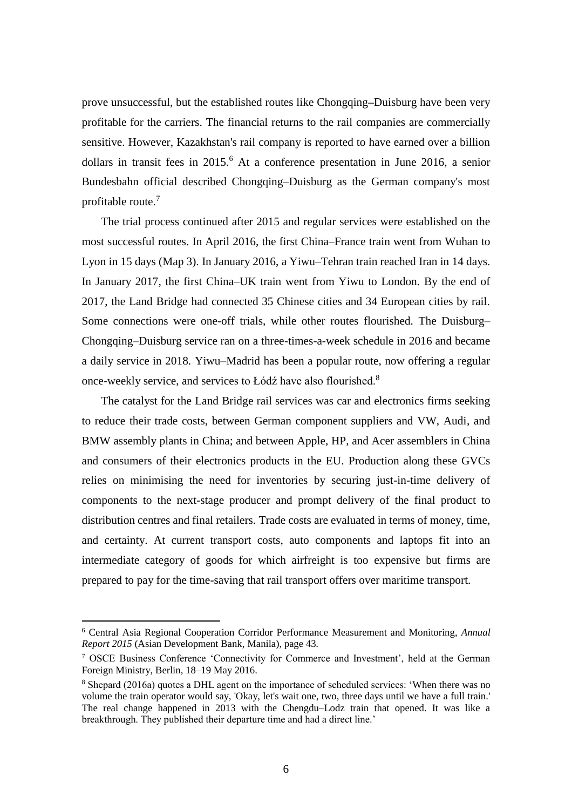prove unsuccessful, but the established routes like Chongqing**–**Duisburg have been very profitable for the carriers. The financial returns to the rail companies are commercially sensitive. However, Kazakhstan's rail company is reported to have earned over a billion dollars in transit fees in 2015.<sup>6</sup> At a conference presentation in June 2016, a senior Bundesbahn official described Chongqing–Duisburg as the German company's most profitable route.<sup>7</sup>

The trial process continued after 2015 and regular services were established on the most successful routes. In April 2016, the first China–France train went from Wuhan to Lyon in 15 days (Map 3). In January 2016, a Yiwu–Tehran train reached Iran in 14 days. In January 2017, the first China–UK train went from Yiwu to London. By the end of 2017, the Land Bridge had connected 35 Chinese cities and 34 European cities by rail. Some connections were one-off trials, while other routes flourished. The Duisburg– Chongqing–Duisburg service ran on a three-times-a-week schedule in 2016 and became a daily service in 2018. Yiwu–Madrid has been a popular route, now offering a regular once-weekly service, and services to Łódź have also flourished.<sup>8</sup>

The catalyst for the Land Bridge rail services was car and electronics firms seeking to reduce their trade costs, between German component suppliers and VW, Audi, and BMW assembly plants in China; and between Apple, HP, and Acer assemblers in China and consumers of their electronics products in the EU. Production along these GVCs relies on minimising the need for inventories by securing just-in-time delivery of components to the next-stage producer and prompt delivery of the final product to distribution centres and final retailers. Trade costs are evaluated in terms of money, time, and certainty. At current transport costs, auto components and laptops fit into an intermediate category of goods for which airfreight is too expensive but firms are prepared to pay for the time-saving that rail transport offers over maritime transport.

<sup>6</sup> Central Asia Regional Cooperation Corridor Performance Measurement and Monitoring, *Annual Report 2015* (Asian Development Bank, Manila), page 43.

<sup>7</sup> OSCE Business Conference 'Connectivity for Commerce and Investment', held at the German Foreign Ministry, Berlin, 18–19 May 2016.

<sup>&</sup>lt;sup>8</sup> Shepard (2016a) quotes a DHL agent on the importance of scheduled services: 'When there was no volume the train operator would say, 'Okay, let's wait one, two, three days until we have a full train.' The real change happened in 2013 with the Chengdu–Lodz train that opened. It was like a breakthrough. They published their departure time and had a direct line.'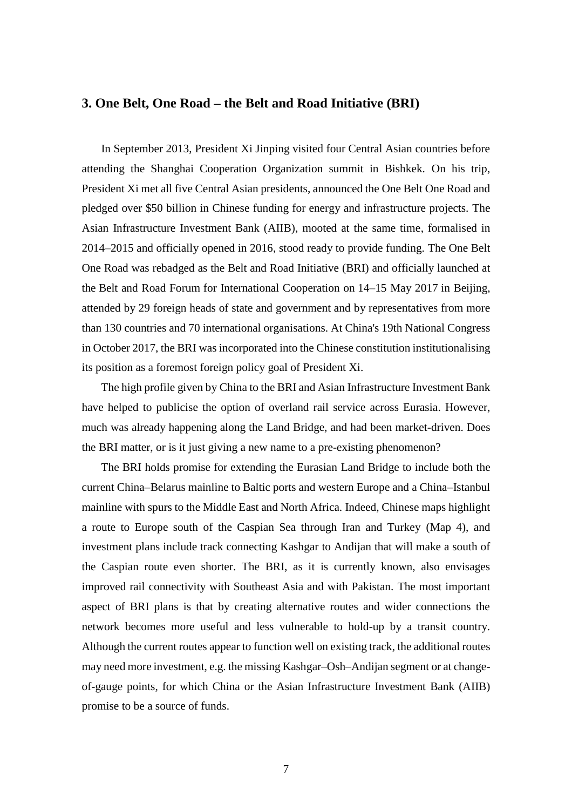### **3. One Belt, One Road – the Belt and Road Initiative (BRI)**

In September 2013, President Xi Jinping visited four Central Asian countries before attending the Shanghai Cooperation Organization summit in Bishkek. On his trip, President Xi met all five Central Asian presidents, announced the One Belt One Road and pledged over \$50 billion in Chinese funding for energy and infrastructure projects. The Asian Infrastructure Investment Bank (AIIB), mooted at the same time, formalised in 2014–2015 and officially opened in 2016, stood ready to provide funding. The One Belt One Road was rebadged as the Belt and Road Initiative (BRI) and officially launched at the Belt and Road Forum for International Cooperation on 14–15 May 2017 in Beijing, attended by 29 foreign heads of state and government and by representatives from more than 130 countries and 70 international organisations. At China's 19th National Congress in October 2017, the BRI was incorporated into the Chinese constitution institutionalising its position as a foremost foreign policy goal of President Xi.

The high profile given by China to the BRI and Asian Infrastructure Investment Bank have helped to publicise the option of overland rail service across Eurasia. However, much was already happening along the Land Bridge, and had been market-driven. Does the BRI matter, or is it just giving a new name to a pre-existing phenomenon?

The BRI holds promise for extending the Eurasian Land Bridge to include both the current China–Belarus mainline to Baltic ports and western Europe and a China–Istanbul mainline with spurs to the Middle East and North Africa. Indeed, Chinese maps highlight a route to Europe south of the Caspian Sea through Iran and Turkey (Map 4), and investment plans include track connecting Kashgar to Andijan that will make a south of the Caspian route even shorter. The BRI, as it is currently known, also envisages improved rail connectivity with Southeast Asia and with Pakistan. The most important aspect of BRI plans is that by creating alternative routes and wider connections the network becomes more useful and less vulnerable to hold-up by a transit country. Although the current routes appear to function well on existing track, the additional routes may need more investment, e.g. the missing Kashgar–Osh–Andijan segment or at changeof-gauge points, for which China or the Asian Infrastructure Investment Bank (AIIB) promise to be a source of funds.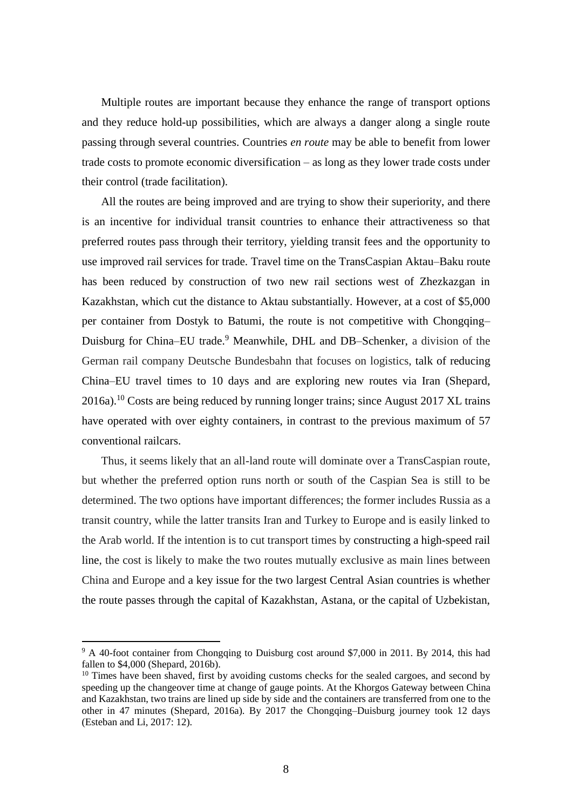Multiple routes are important because they enhance the range of transport options and they reduce hold-up possibilities, which are always a danger along a single route passing through several countries. Countries *en route* may be able to benefit from lower trade costs to promote economic diversification – as long as they lower trade costs under their control (trade facilitation).

All the routes are being improved and are trying to show their superiority, and there is an incentive for individual transit countries to enhance their attractiveness so that preferred routes pass through their territory, yielding transit fees and the opportunity to use improved rail services for trade. Travel time on the TransCaspian Aktau–Baku route has been reduced by construction of two new rail sections west of Zhezkazgan in Kazakhstan, which cut the distance to Aktau substantially. However, at a cost of \$5,000 per container from Dostyk to Batumi, the route is not competitive with Chongqing– Duisburg for China–EU trade.<sup>9</sup> Meanwhile, DHL and DB–Schenker, a division of the German rail company Deutsche Bundesbahn that focuses on logistics, talk of reducing China–EU travel times to 10 days and are exploring new routes via Iran (Shepard, 2016a).<sup>10</sup> Costs are being reduced by running longer trains; since August 2017 XL trains have operated with over eighty containers, in contrast to the previous maximum of 57 conventional railcars.

Thus, it seems likely that an all-land route will dominate over a TransCaspian route, but whether the preferred option runs north or south of the Caspian Sea is still to be determined. The two options have important differences; the former includes Russia as a transit country, while the latter transits Iran and Turkey to Europe and is easily linked to the Arab world. If the intention is to cut transport times by constructing a high-speed rail line, the cost is likely to make the two routes mutually exclusive as main lines between China and Europe and a key issue for the two largest Central Asian countries is whether the route passes through the capital of Kazakhstan, Astana, or the capital of Uzbekistan,

<sup>&</sup>lt;sup>9</sup> A 40-foot container from Chongqing to Duisburg cost around \$7,000 in 2011. By 2014, this had fallen to \$4,000 (Shepard, 2016b).

 $10$  Times have been shaved, first by avoiding customs checks for the sealed cargoes, and second by speeding up the changeover time at change of gauge points. At the Khorgos Gateway between China and Kazakhstan, two trains are lined up side by side and the containers are transferred from one to the other in 47 minutes (Shepard, 2016a). By 2017 the Chongqing–Duisburg journey took 12 days (Esteban and Li, 2017: 12).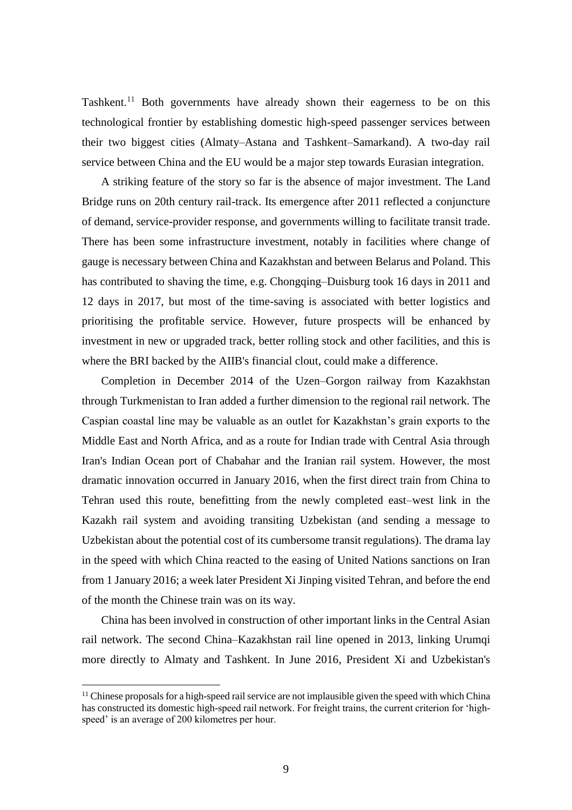Tashkent.<sup>11</sup> Both governments have already shown their eagerness to be on this technological frontier by establishing domestic high-speed passenger services between their two biggest cities (Almaty–Astana and Tashkent–Samarkand). A two-day rail service between China and the EU would be a major step towards Eurasian integration.

A striking feature of the story so far is the absence of major investment. The Land Bridge runs on 20th century rail-track. Its emergence after 2011 reflected a conjuncture of demand, service-provider response, and governments willing to facilitate transit trade. There has been some infrastructure investment, notably in facilities where change of gauge is necessary between China and Kazakhstan and between Belarus and Poland. This has contributed to shaving the time, e.g. Chongqing–Duisburg took 16 days in 2011 and 12 days in 2017, but most of the time-saving is associated with better logistics and prioritising the profitable service. However, future prospects will be enhanced by investment in new or upgraded track, better rolling stock and other facilities, and this is where the BRI backed by the AIIB's financial clout, could make a difference.

Completion in December 2014 of the Uzen–Gorgon railway from Kazakhstan through Turkmenistan to Iran added a further dimension to the regional rail network. The Caspian coastal line may be valuable as an outlet for Kazakhstan's grain exports to the Middle East and North Africa, and as a route for Indian trade with Central Asia through Iran's Indian Ocean port of Chabahar and the Iranian rail system. However, the most dramatic innovation occurred in January 2016, when the first direct train from China to Tehran used this route, benefitting from the newly completed east–west link in the Kazakh rail system and avoiding transiting Uzbekistan (and sending a message to Uzbekistan about the potential cost of its cumbersome transit regulations). The drama lay in the speed with which China reacted to the easing of United Nations sanctions on Iran from 1 January 2016; a week later President Xi Jinping visited Tehran, and before the end of the month the Chinese train was on its way.

China has been involved in construction of other important links in the Central Asian rail network. The second China–Kazakhstan rail line opened in 2013, linking Urumqi more directly to Almaty and Tashkent. In June 2016, President Xi and Uzbekistan's

<sup>&</sup>lt;sup>11</sup> Chinese proposals for a high-speed rail service are not implausible given the speed with which China has constructed its domestic high-speed rail network. For freight trains, the current criterion for 'highspeed' is an average of 200 kilometres per hour.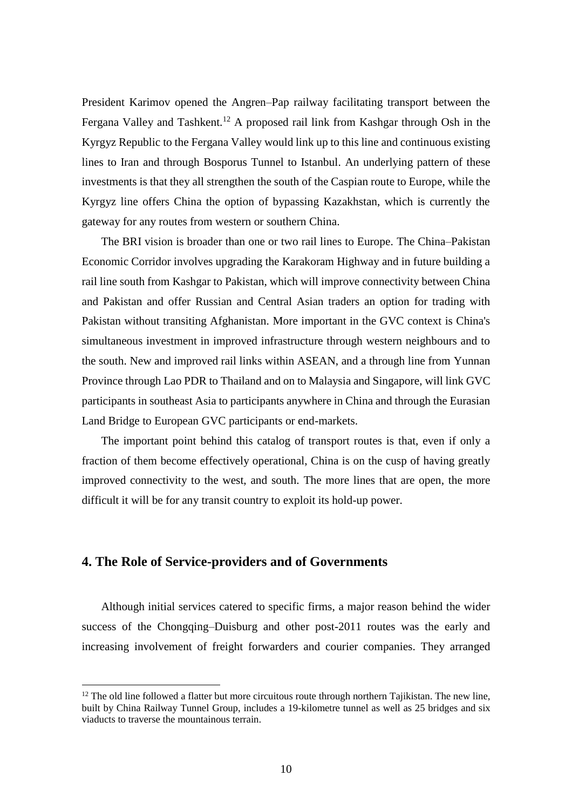President Karimov opened the Angren–Pap railway facilitating transport between the Fergana Valley and Tashkent.<sup>12</sup> A proposed rail link from Kashgar through Osh in the Kyrgyz Republic to the Fergana Valley would link up to this line and continuous existing lines to Iran and through Bosporus Tunnel to Istanbul. An underlying pattern of these investments is that they all strengthen the south of the Caspian route to Europe, while the Kyrgyz line offers China the option of bypassing Kazakhstan, which is currently the gateway for any routes from western or southern China.

The BRI vision is broader than one or two rail lines to Europe. The China–Pakistan Economic Corridor involves upgrading the Karakoram Highway and in future building a rail line south from Kashgar to Pakistan, which will improve connectivity between China and Pakistan and offer Russian and Central Asian traders an option for trading with Pakistan without transiting Afghanistan. More important in the GVC context is China's simultaneous investment in improved infrastructure through western neighbours and to the south. New and improved rail links within ASEAN, and a through line from Yunnan Province through Lao PDR to Thailand and on to Malaysia and Singapore, will link GVC participants in southeast Asia to participants anywhere in China and through the Eurasian Land Bridge to European GVC participants or end-markets.

The important point behind this catalog of transport routes is that, even if only a fraction of them become effectively operational, China is on the cusp of having greatly improved connectivity to the west, and south. The more lines that are open, the more difficult it will be for any transit country to exploit its hold-up power.

#### **4. The Role of Service-providers and of Governments**

-

Although initial services catered to specific firms, a major reason behind the wider success of the Chongqing–Duisburg and other post-2011 routes was the early and increasing involvement of freight forwarders and courier companies. They arranged

 $12$  The old line followed a flatter but more circuitous route through northern Tajikistan. The new line, built by China Railway Tunnel Group, includes a 19-kilometre tunnel as well as 25 bridges and six viaducts to traverse the mountainous terrain.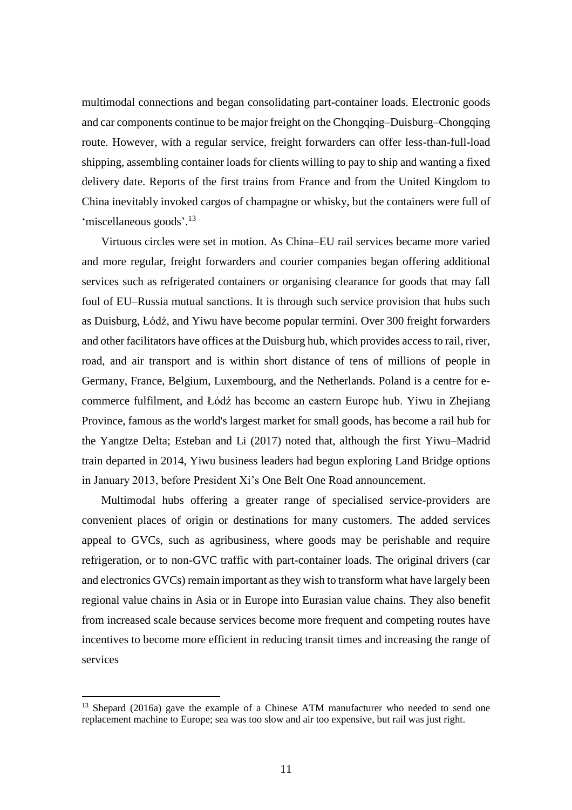multimodal connections and began consolidating part-container loads. Electronic goods and car components continue to be major freight on the Chongqing–Duisburg–Chongqing route. However, with a regular service, freight forwarders can offer less-than-full-load shipping, assembling container loads for clients willing to pay to ship and wanting a fixed delivery date. Reports of the first trains from France and from the United Kingdom to China inevitably invoked cargos of champagne or whisky, but the containers were full of 'miscellaneous goods'.<sup>13</sup>

Virtuous circles were set in motion. As China–EU rail services became more varied and more regular, freight forwarders and courier companies began offering additional services such as refrigerated containers or organising clearance for goods that may fall foul of EU–Russia mutual sanctions. It is through such service provision that hubs such as Duisburg, Łódź, and Yiwu have become popular termini. Over 300 freight forwarders and other facilitators have offices at the Duisburg hub, which provides access to rail, river, road, and air transport and is within short distance of tens of millions of people in Germany, France, Belgium, Luxembourg, and the Netherlands. Poland is a centre for ecommerce fulfilment, and Łódź has become an eastern Europe hub. Yiwu in Zhejiang Province, famous as the world's largest market for small goods, has become a rail hub for the Yangtze Delta; Esteban and Li (2017) noted that, although the first Yiwu–Madrid train departed in 2014, Yiwu business leaders had begun exploring Land Bridge options in January 2013, before President Xi's One Belt One Road announcement.

Multimodal hubs offering a greater range of specialised service-providers are convenient places of origin or destinations for many customers. The added services appeal to GVCs, such as agribusiness, where goods may be perishable and require refrigeration, or to non-GVC traffic with part-container loads. The original drivers (car and electronics GVCs) remain important as they wish to transform what have largely been regional value chains in Asia or in Europe into Eurasian value chains. They also benefit from increased scale because services become more frequent and competing routes have incentives to become more efficient in reducing transit times and increasing the range of services

<sup>&</sup>lt;sup>13</sup> Shepard (2016a) gave the example of a Chinese ATM manufacturer who needed to send one replacement machine to Europe; sea was too slow and air too expensive, but rail was just right.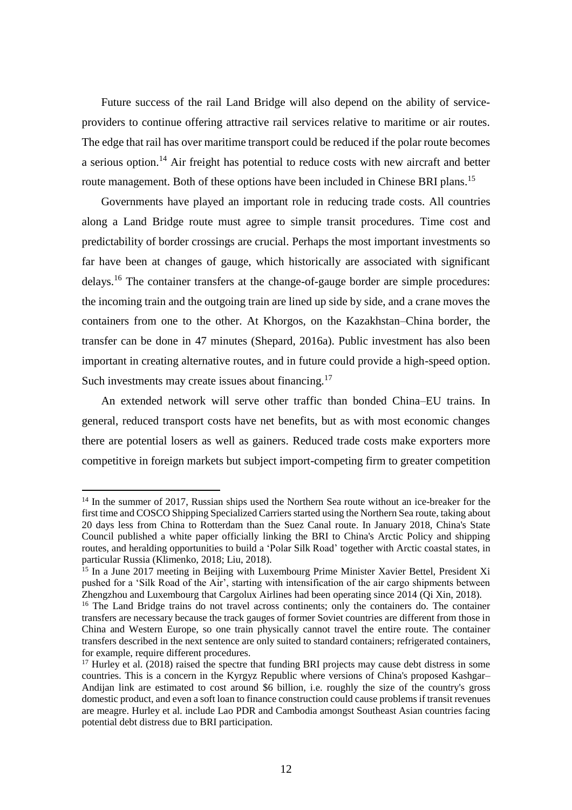Future success of the rail Land Bridge will also depend on the ability of serviceproviders to continue offering attractive rail services relative to maritime or air routes. The edge that rail has over maritime transport could be reduced if the polar route becomes a serious option.<sup>14</sup> Air freight has potential to reduce costs with new aircraft and better route management. Both of these options have been included in Chinese BRI plans.<sup>15</sup>

Governments have played an important role in reducing trade costs. All countries along a Land Bridge route must agree to simple transit procedures. Time cost and predictability of border crossings are crucial. Perhaps the most important investments so far have been at changes of gauge, which historically are associated with significant delays.<sup>16</sup> The container transfers at the change-of-gauge border are simple procedures: the incoming train and the outgoing train are lined up side by side, and a crane moves the containers from one to the other. At Khorgos, on the Kazakhstan–China border, the transfer can be done in 47 minutes (Shepard, 2016a). Public investment has also been important in creating alternative routes, and in future could provide a high-speed option. Such investments may create issues about financing.<sup>17</sup>

An extended network will serve other traffic than bonded China–EU trains. In general, reduced transport costs have net benefits, but as with most economic changes there are potential losers as well as gainers. Reduced trade costs make exporters more competitive in foreign markets but subject import-competing firm to greater competition

<sup>&</sup>lt;sup>14</sup> In the summer of 2017, Russian ships used the Northern Sea route without an ice-breaker for the first time and COSCO Shipping Specialized Carriers started using the Northern Sea route, taking about 20 days less from China to Rotterdam than the Suez Canal route. In January 2018, China's State Council published a white paper officially linking the BRI to China's Arctic Policy and shipping routes, and heralding opportunities to build a 'Polar Silk Road' together with Arctic coastal states, in particular Russia (Klimenko, 2018; Liu, 2018).

<sup>&</sup>lt;sup>15</sup> In a June 2017 meeting in Beijing with Luxembourg Prime Minister Xavier Bettel, President Xi pushed for a 'Silk Road of the Air', starting with intensification of the air cargo shipments between Zhengzhou and Luxembourg that Cargolux Airlines had been operating since 2014 (Qi Xin, 2018).

<sup>&</sup>lt;sup>16</sup> The Land Bridge trains do not travel across continents; only the containers do. The container transfers are necessary because the track gauges of former Soviet countries are different from those in China and Western Europe, so one train physically cannot travel the entire route. The container transfers described in the next sentence are only suited to standard containers; refrigerated containers, for example, require different procedures.

<sup>&</sup>lt;sup>17</sup> Hurley et al. (2018) raised the spectre that funding BRI projects may cause debt distress in some countries. This is a concern in the Kyrgyz Republic where versions of China's proposed Kashgar– Andijan link are estimated to cost around \$6 billion, i.e. roughly the size of the country's gross domestic product, and even a soft loan to finance construction could cause problems if transit revenues are meagre. Hurley et al. include Lao PDR and Cambodia amongst Southeast Asian countries facing potential debt distress due to BRI participation.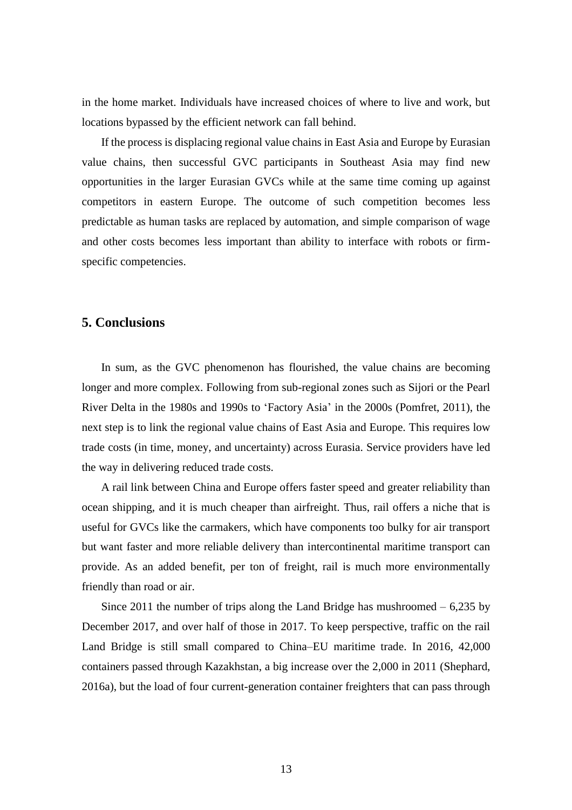in the home market. Individuals have increased choices of where to live and work, but locations bypassed by the efficient network can fall behind.

If the process is displacing regional value chains in East Asia and Europe by Eurasian value chains, then successful GVC participants in Southeast Asia may find new opportunities in the larger Eurasian GVCs while at the same time coming up against competitors in eastern Europe. The outcome of such competition becomes less predictable as human tasks are replaced by automation, and simple comparison of wage and other costs becomes less important than ability to interface with robots or firmspecific competencies.

# **5. Conclusions**

In sum, as the GVC phenomenon has flourished, the value chains are becoming longer and more complex. Following from sub-regional zones such as Sijori or the Pearl River Delta in the 1980s and 1990s to 'Factory Asia' in the 2000s (Pomfret, 2011), the next step is to link the regional value chains of East Asia and Europe. This requires low trade costs (in time, money, and uncertainty) across Eurasia. Service providers have led the way in delivering reduced trade costs.

A rail link between China and Europe offers faster speed and greater reliability than ocean shipping, and it is much cheaper than airfreight. Thus, rail offers a niche that is useful for GVCs like the carmakers, which have components too bulky for air transport but want faster and more reliable delivery than intercontinental maritime transport can provide. As an added benefit, per ton of freight, rail is much more environmentally friendly than road or air.

Since 2011 the number of trips along the Land Bridge has mushroomed  $-6,235$  by December 2017, and over half of those in 2017. To keep perspective, traffic on the rail Land Bridge is still small compared to China–EU maritime trade. In 2016, 42,000 containers passed through Kazakhstan, a big increase over the 2,000 in 2011 (Shephard, 2016a), but the load of four current-generation container freighters that can pass through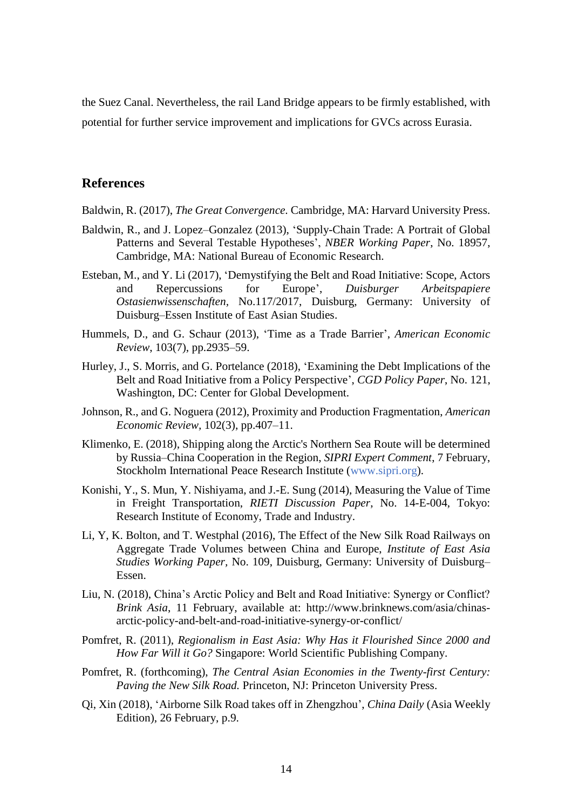the Suez Canal. Nevertheless, the rail Land Bridge appears to be firmly established, with potential for further service improvement and implications for GVCs across Eurasia.

### **References**

- Baldwin, R. (2017), *The Great Convergence.* Cambridge, MA: Harvard University Press.
- Baldwin, R., and J. Lopez–Gonzalez (2013), 'Supply-Chain Trade: A Portrait of Global Patterns and Several Testable Hypotheses', *NBER Working Paper*, No. 18957, Cambridge, MA: National Bureau of Economic Research.
- Esteban, M., and Y. Li (2017), 'Demystifying the Belt and Road Initiative: Scope, Actors and Repercussions for Europe', *Duisburger Arbeitspapiere Ostasienwissenschaften,* No.117/2017, Duisburg, Germany: University of Duisburg–Essen Institute of East Asian Studies.
- Hummels, D., and G. Schaur (2013), 'Time as a Trade Barrier', *American Economic Review*, 103(7), pp.2935–59.
- Hurley, J., S. Morris, and G. Portelance (2018), 'Examining the Debt Implications of the Belt and Road Initiative from a Policy Perspective', *CGD Policy Paper*, No. 121, Washington, DC: Center for Global Development.
- Johnson, R., and G. Noguera (2012), Proximity and Production Fragmentation, *American Economic Review,* 102(3), pp.407–11.
- Klimenko, E. (2018), Shipping along the Arctic's Northern Sea Route will be determined by Russia–China Cooperation in the Region, *SIPRI Expert Comment*, 7 February, Stockholm International Peace Research Institute (www.sipri.org).
- Konishi, Y., S. Mun, Y. Nishiyama, and J.-E. Sung (2014), Measuring the Value of Time in Freight Transportation, *RIETI Discussion Paper*, No. 14-E-004, Tokyo: Research Institute of Economy, Trade and Industry.
- Li, Y, K. Bolton, and T. Westphal (2016), The Effect of the New Silk Road Railways on Aggregate Trade Volumes between China and Europe, *Institute of East Asia Studies Working Paper,* No. 109, Duisburg, Germany: University of Duisburg– Essen.
- Liu, N. (2018), China's Arctic Policy and Belt and Road Initiative: Synergy or Conflict? *Brink Asia*, 11 February, available at: http://www.brinknews.com/asia/chinasarctic-policy-and-belt-and-road-initiative-synergy-or-conflict/
- Pomfret, R. (2011), *Regionalism in East Asia: Why Has it Flourished Since 2000 and How Far Will it Go?* Singapore: World Scientific Publishing Company.
- Pomfret, R. (forthcoming), *The Central Asian Economies in the Twenty-first Century: Paving the New Silk Road.* Princeton, NJ: Princeton University Press.
- Qi, Xin (2018), 'Airborne Silk Road takes off in Zhengzhou', *China Daily* (Asia Weekly Edition), 26 February, p.9.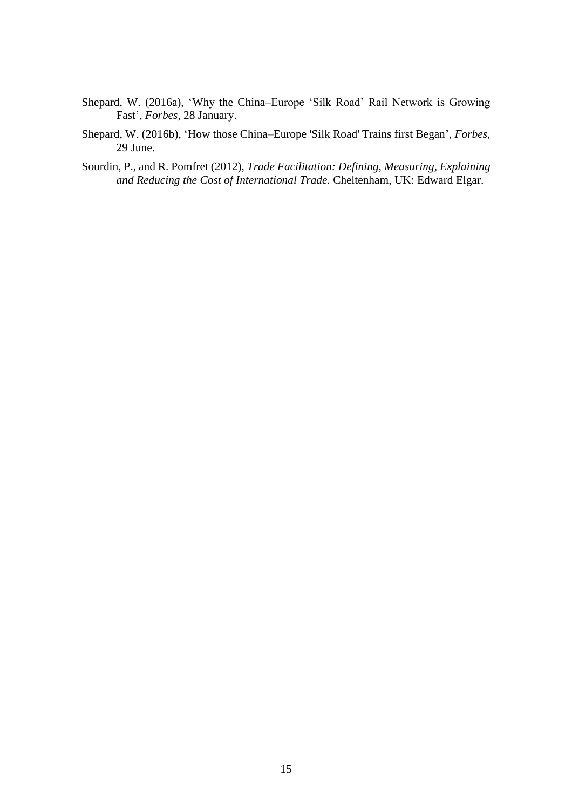- Shepard, W. (2016a), 'Why the China–Europe 'Silk Road' Rail Network is Growing Fast', *Forbes*, 28 January.
- Shepard, W. (2016b), 'How those China–Europe 'Silk Road' Trains first Began', *Forbes*, 29 June.
- Sourdin, P., and R. Pomfret (2012), *Trade Facilitation: Defining, Measuring, Explaining and Reducing the Cost of International Trade.* Cheltenham, UK: Edward Elgar.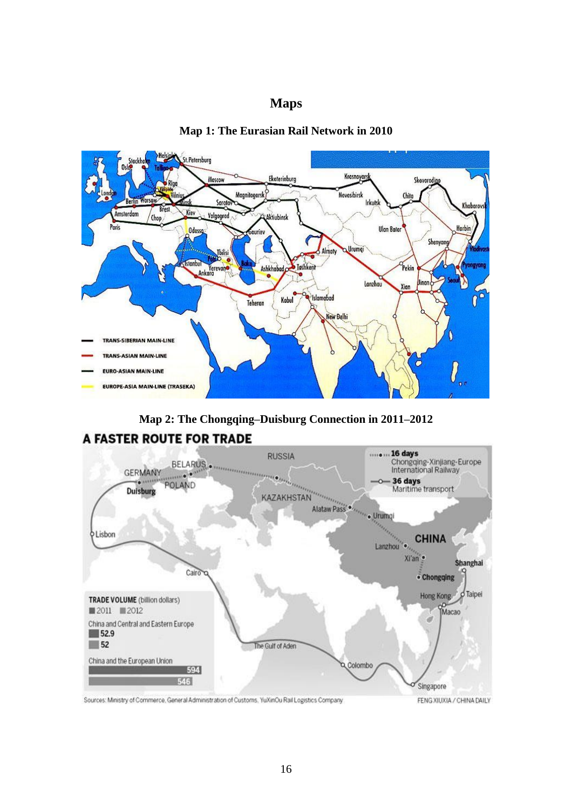# **Maps**



**Map 1: The Eurasian Rail Network in 2010**

**Map 2: The Chongqing–Duisburg Connection in 2011–2012**



**A FASTER ROUTE FOR TRADE** 

Sources: Ministry of Commerce, General Administration of Customs, YuXinCu Rail Logistics Company

FENG XIUXIA / CHINA DAILY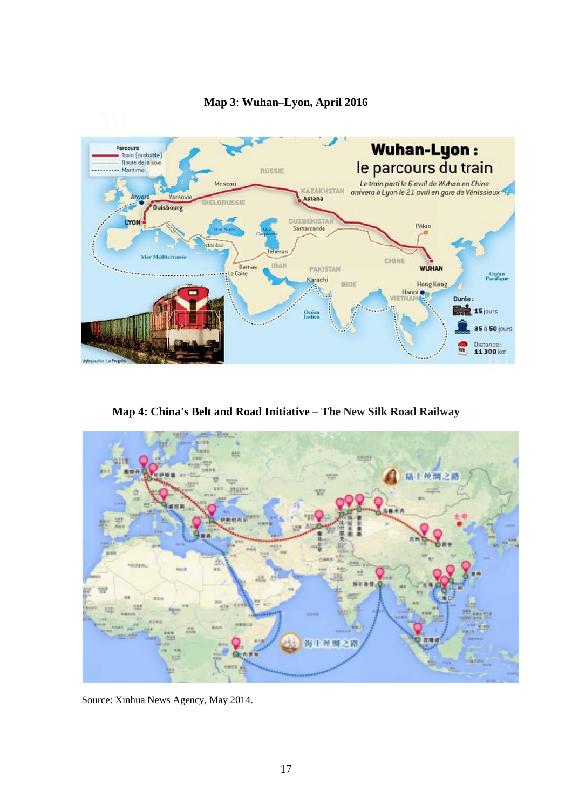

# **Map 3**: **Wuhan–Lyon, April 2016**

**Map 4: China's Belt and Road Initiative – The New Silk Road Railway**



Source: Xinhua News Agency, May 2014.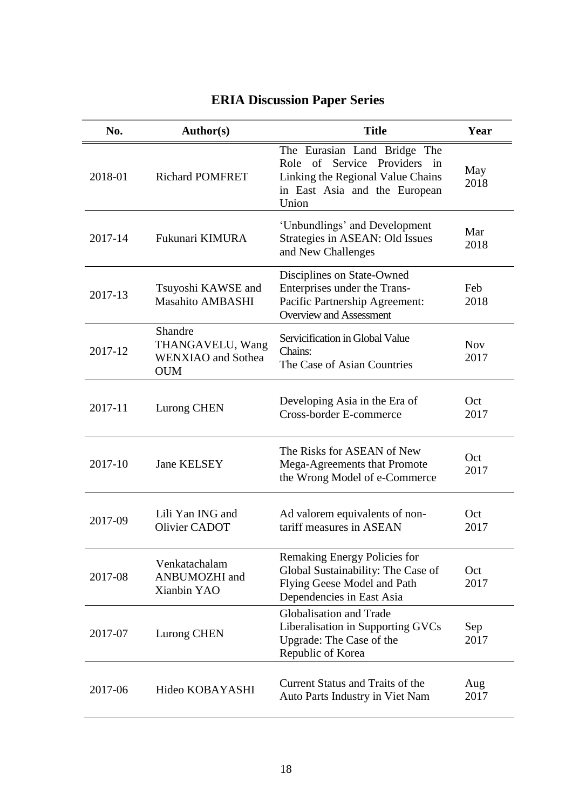| No.     | Author(s)                                                              | <b>Title</b>                                                                                                                                | Year               |
|---------|------------------------------------------------------------------------|---------------------------------------------------------------------------------------------------------------------------------------------|--------------------|
| 2018-01 | <b>Richard POMFRET</b>                                                 | The Eurasian Land Bridge The<br>Role of Service Providers in<br>Linking the Regional Value Chains<br>in East Asia and the European<br>Union | May<br>2018        |
| 2017-14 | Fukunari KIMURA                                                        | 'Unbundlings' and Development<br>Strategies in ASEAN: Old Issues<br>and New Challenges                                                      | Mar<br>2018        |
| 2017-13 | Tsuyoshi KAWSE and<br><b>Masahito AMBASHI</b>                          | Disciplines on State-Owned<br>Enterprises under the Trans-<br>Pacific Partnership Agreement:<br><b>Overview and Assessment</b>              | Feb<br>2018        |
| 2017-12 | Shandre<br>THANGAVELU, Wang<br><b>WENXIAO</b> and Sothea<br><b>OUM</b> | Servicification in Global Value<br>Chains:<br>The Case of Asian Countries                                                                   | <b>Nov</b><br>2017 |
| 2017-11 | Lurong CHEN                                                            | Developing Asia in the Era of<br>Cross-border E-commerce                                                                                    | Oct<br>2017        |
| 2017-10 | <b>Jane KELSEY</b>                                                     | The Risks for ASEAN of New<br>Mega-Agreements that Promote<br>the Wrong Model of e-Commerce                                                 | Oct<br>2017        |
| 2017-09 | Lili Yan ING and<br>Olivier CADOT                                      | Ad valorem equivalents of non-<br>tariff measures in ASEAN                                                                                  | Oct<br>2017        |
| 2017-08 | Venkatachalam<br>ANBUMOZHI and<br>Xianbin YAO                          | Remaking Energy Policies for<br>Global Sustainability: The Case of<br>Flying Geese Model and Path<br>Dependencies in East Asia              | Oct<br>2017        |
| 2017-07 | Lurong CHEN                                                            | Globalisation and Trade<br>Liberalisation in Supporting GVCs<br>Upgrade: The Case of the<br>Republic of Korea                               | Sep<br>2017        |
| 2017-06 | Hideo KOBAYASHI                                                        | Current Status and Traits of the<br>Auto Parts Industry in Viet Nam                                                                         | Aug<br>2017        |

# **ERIA Discussion Paper Series**